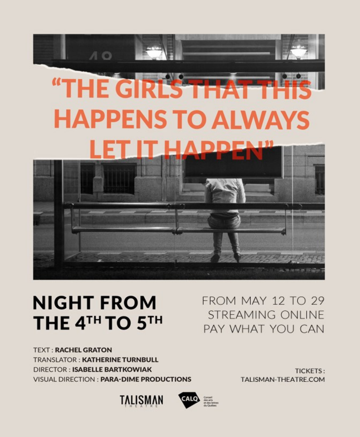

# **NIGHT FROM** THE 4TH TO 5TH

**TEXT: RACHEL GRATON TRANSLATOR: KATHERINE TURNBULL DIRECTOR: ISABELLE BARTKOWIAK VISUAL DIRECTION: PARA-DIME PRODUCTIONS**  FROM MAY 12 TO 29 **STREAMING ONLINE** PAY WHAT YOU CAN

> **TICKETS:** TALISMAN-THEATRE.COM



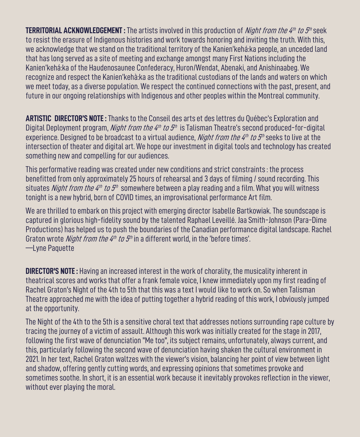**TERRITORIAL ACKNOWLEDGEMENT :** The artists involved in this production of *Night from the 4<sup>th</sup> to 5<sup>th</sup>* seek to resist the erasure of Indigenous histories and work towards honoring and inviting the truth. With this, we acknowledge that we stand on the traditional territory of the Kanien'kehá:ka people, an unceded land that has long served as a site of meeting and exchange amongst many First Nations including the Kanien'kehá:ka of the Haudenosaunee Confederacy, Huron/Wendat, Abenaki, and Anishinaabeg. We recognize and respect the Kanien'kehà:ka as the traditional custodians of the lands and waters on which we meet today, as a diverse population. We respect the continued connections with the past, present, and future in our ongoing relationships with Indigenous and other peoples within the Montreal community.

**ARTISTIC DIRECTOR'S NOTE :** Thanks to the Conseil des arts et des lettres du Québec's Exploration and Digital Deployment program, *Night from the 4<sup>th</sup> to 5<sup>th</sup>* is Talisman Theatre's second produced-for-digital experience. Designed to be broadcast to a virtual audience, *Night from the 4<sup>th</sup> to 5<sup>th</sup>* seeks to live at the intersection of theater and digital art. We hope our investment in digital tools and technology has created something new and compelling for our audiences.

This performative reading was created under new conditions and strict constraints : the process benefitted from only approximately 25 hours of rehearsal and 3 days of filming / sound recording. This situates *Night from the 4<sup>th</sup> to 5<sup>th</sup>* somewhere between a play reading and a film. What you will witness tonight is a new hybrid, born of COVID times, an improvisational performance Art film.

We are thrilled to embark on this project with emerging director Isabelle Bartkowiak. The soundscape is captured in glorious high-fidelity sound by the talented Raphael Leveillé. Jaa Smith-Johnson (Para-Dime Productions) has helped us to push the boundaries of the Canadian performance digital landscape. Rachel Graton wrote *Night from the 4<sup>th</sup> to 5<sup>th</sup>* in a different world, in the 'before times'. —Lyne Paquette

**DIRECTOR'S NOTE :** Having an increased interest in the work of chorality, the musicality inherent in theatrical scores and works that offer a frank female voice, I knew immediately upon my first reading of Rachel Graton's Night of the 4th to 5th that this was a text I would like to work on. So when Talisman Theatre approached me with the idea of putting together a hybrid reading of this work, I obviously jumped at the opportunity.

The Night of the 4th to the 5th is a sensitive choral text that addresses notions surrounding rape culture by tracing the journey of a victim of assault. Although this work was initially created for the stage in 2017, following the first wave of denunciation "Me too", its subject remains, unfortunately, always current, and this, particularly following the second wave of denunciation having shaken the cultural environment in 2021. In her text, Rachel Graton waltzes with the viewer's vision, balancing her point of view between light and shadow, offering gently cutting words, and expressing opinions that sometimes provoke and sometimes soothe. In short, it is an essential work because it inevitably provokes reflection in the viewer, without ever playing the moral.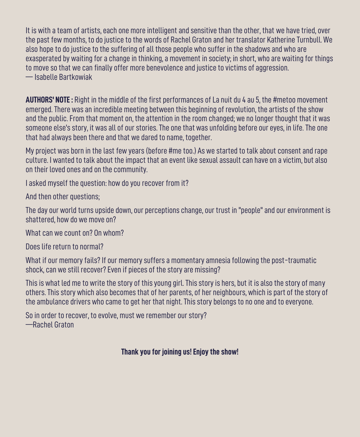It is with a team of artists, each one more intelligent and sensitive than the other, that we have tried, over the past few months, to do justice to the words of Rachel Graton and her translator Katherine Turnbull. We also hope to do justice to the suffering of all those people who suffer in the shadows and who are exasperated by waiting for a change in thinking, a movement in society; in short, who are waiting for things to move so that we can finally offer more benevolence and justice to victims of aggression. — Isabelle Bartkowiak

**AUTHORS' NOTE :** Right in the middle of the first performances of La nuit du 4 au 5, the #metoo movement emerged. There was an incredible meeting between this beginning of revolution, the artists of the show and the public. From that moment on, the attention in the room changed; we no longer thought that it was someone else's story, it was all of our stories. The one that was unfolding before our eyes, in life. The one that had always been there and that we dared to name, together.

My project was born in the last few years (before #me too.) As we started to talk about consent and rape culture. I wanted to talk about the impact that an event like sexual assault can have on a victim, but also on their loved ones and on the community.

I asked myself the question: how do you recover from it?

And then other questions;

The day our world turns upside down, our perceptions change, our trust in "people" and our environment is shattered, how do we move on?

What can we count on? On whom?

Does life return to normal?

What if our memory fails? If our memory suffers a momentary amnesia following the post-traumatic shock, can we still recover? Even if pieces of the story are missing?

This is what led me to write the story of this young girl. This story is hers, but it is also the story of many others. This story which also becomes that of her parents, of her neighbours, which is part of the story of the ambulance drivers who came to get her that night. This story belongs to no one and to everyone.

So in order to recover, to evolve, must we remember our story? —Rachel Graton

#### **Thank you for joining us! Enjoy the show!**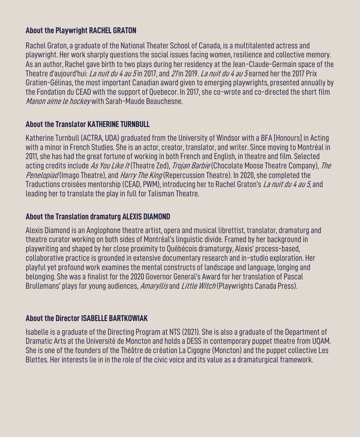#### **About the Playwright RACHEL GRATON**

Rachel Graton, a graduate of the National Theater School of Canada, is a multitalented actress and playwright. Her work sharply questions the social issues facing women, resilience and collective memory. As an author, Rachel gave birth to two plays during her residency at the Jean-Claude-Germain space of the Theatre d'aujourd'hui: *La nuit du 4 au 5* in 2017, and *21* in 2019. *La nuit du 4 au 5* earned her the 2017 Prix Gratien-Gélinas, the most important Canadian award given to emerging playwrights, presented annually by the Fondation du CEAD with the support of Quebecor. In 2017, she co-wrote and co-directed the short film Manon aime le hockey with Sarah-Maude Beauchesne.

#### **About the Translator KATHERINE TURNBULL**

Katherine Turnbull (ACTRA, UDA) graduated from the University of Windsor with a BFA [Honours] in Acting with a minor in French Studies. She is an actor, creator, translator, and writer. Since moving to Montréal in 2011, she has had the great fortune of working in both French and English, in theatre and film. Selected acting credits include As You Like It (Theatre Zed), Trojan Barbie (Chocolate Moose Theatre Company), The Penelopiad (Imago Theatre), and Harry The King (Repercussion Theatre). In 2020, she completed the Traductions croisées mentorship (CEAD, PWM), introducing her to Rachel Graton's La nuit du 4 au 5, and leading her to translate the play in full for Talisman Theatre.

#### **About the Translation dramaturg ALEXIS DIAMOND**

Alexis Diamond is an Anglophone theatre artist, opera and musical librettist, translator, dramaturg and theatre curator working on both sides of Montréal's linguistic divide. Framed by her background in playwriting and shaped by her close proximity to Québécois dramaturgy, Alexis' process-based, collaborative practice is grounded in extensive documentary research and in-studio exploration. Her playful yet profound work examines the mental constructs of landscape and language, longing and belonging. She was a finalist for the 2020 Governor General's Award for her translation of Pascal Brullemans' plays for young audiences, *Amaryllis* and *Little Witch* (Playwrights Canada Press).

#### **About the Director ISABELLE BARTKOWIAK**

Isabelle is a graduate of the Directing Program at NTS (2021). She is also a graduate of the Department of Dramatic Arts at the Université de Moncton and holds a DESS in contemporary puppet theatre from UQAM. She is one of the founders of the Théâtre de création La Cigogne (Moncton) and the puppet collective Les Blettes. Her interests lie in in the role of the civic voice and its value as a dramaturgical framework.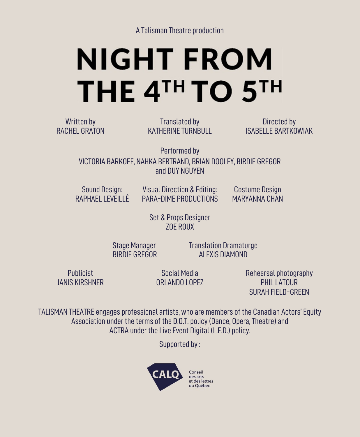# **NIGHT FROM** THE 4TH TO 5TH

Written by RACHEL GRATON

Translated by KATHERINE TURNBULL

Directed by ISABELLE BARTKOWIAK

Performed by VICTORIA BARKOFF, NAHKA BERTRAND, BRIAN DOOLEY, BIRDIE GREGOR and DUY NGUYEN

Sound Design: RAPHAEL LEVEILLÉ Visual Direction & Editing: PARA-DIME PRODUCTIONS

Costume Design MARYANNA CHAN

Set & Props Designer ZOE ROUX

Stage Manager **Translation Dramaturge** BIRDIE GREGOR ALEXIS DIAMOND

Publicist JANIS KIRSHNER

Social Media ORLANDO LOPEZ Rehearsal photography PHIL LATOUR SURAH FIELD-GREEN

TALISMAN THEATRE engages professional artists, who are members of the Canadian Actors' Equity Association under the terms of the D.O.T. policy (Dance, Opera, Theatre) and ACTRA under the Live Event Digital (L.E.D.) policy.

Supported by :

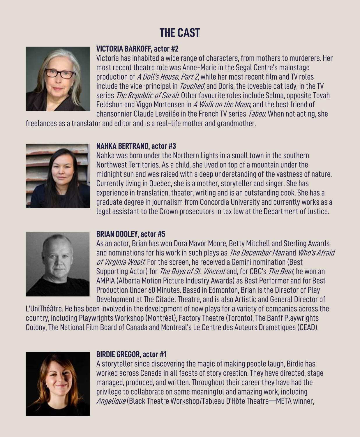## **THE CAST**



#### **VICTORIA BARKOFF, actor #2**

Victoria has inhabited a wide range of characters, from mothers to murderers. Her most recent theatre role was Anne-Marie in the Segal Centre's mainstage production of A Doll's House, Part 2, while her most recent film and TV roles include the vice-principal in *Touched*, and Doris, the loveable cat lady, in the TV series *The Republic of Sarah*. Other favourite roles include Selma, opposite Tovah Feldshuh and Viggo Mortensen in A Walk on the Moon, and the best friend of chansonnier Claude Leveilée in the French TV series *Tabou*. When not acting, she

freelances as a translator and editor and is a real-life mother and grandmother.



#### **NAHKA BERTRAND, actor #3**

Nahka was born under the Northern Lights in a small town in the southern Northwest Territories. As a child, she lived on top of a mountain under the midnight sun and was raised with a deep understanding of the vastness of nature. Currently living in Quebec, she is a mother, storyteller and singer. She has experience in translation, theater, writing and is an outstanding cook. She has a graduate degree in journalism from Concordia University and currently works as a legal assistant to the Crown prosecutors in tax law at the Department of Justice.



#### **BRIAN DOOLEY, actor #5**

As an actor, Brian has won Dora Mavor Moore, Betty Mitchell and Sterling Awards and nominations for his work in such plays as The December Man and Who's Afraid of Virginia Woolf. For the screen, he received a Gemini nomination (Best Supporting Actor) for The Boys of St. Vincent and, for CBC's The Beat, he won an AMPIA (Alberta Motion Picture Industry Awards) as Best Performer and for Best Production Under 60 Minutes. Based in Edmonton, Brian is the Director of Play Development at The Citadel Theatre, and is also Artistic and General Director of

L'UniThéâtre. He has been involved in the development of new plays for a variety of companies across the country, including Playwrights Workshop (Montréal), Factory Theatre (Toronto), The Banff Playwrights Colony, The National Film Board of Canada and Montreal's Le Centre des Auteurs Dramatiques (CEAD).



#### **BIRDIE GREGOR, actor #1**

A storyteller since discovering the magic of making people laugh, Birdie has worked across Canada in all facets of story creation. They have directed, stage managed, produced, and written. Throughout their career they have had the privilege to collaborate on some meaningful and amazing work, including Angelique (Black Theatre Workshop/Tableau D'Hôte Theatre—META winner,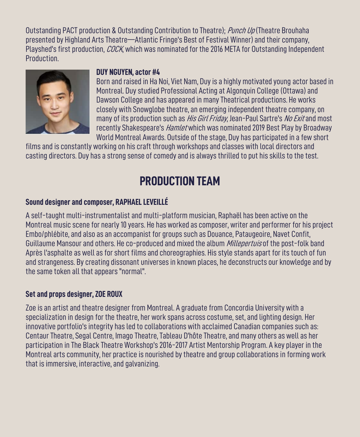Outstanding PACT production & Outstanding Contribution to Theatre); Punch Up (Theatre Brouhaha presented by Highland Arts Theatre—Atlantic Fringe's Best of Festival Winner) and their company, Playshed's first production, *COCK*, which was nominated for the 2016 META for Outstanding Independent Production.



#### **DUY NGUYEN, actor #4**

Born and raised in Ha Noi, Viet Nam, Duy is a highly motivated young actor based in Montreal. Duy studied Professional Acting at Algonquin College (Ottawa) and Dawson College and has appeared in many Theatrical productions. He works closely with Snowglobe theatre, an emerging independent theatre company, on many of its production such as *His Girl Friday*, Jean-Paul Sartre's *No Exit* and most recently Shakespeare's *Hamlet* which was nominated 2019 Best Play by Broadway World Montreal Awards. Outside of the stage, Duy has participated in a few short

films and is constantly working on his craft through workshops and classes with local directors and casting directors. Duy has a strong sense of comedy and is always thrilled to put his skills to the test.

### **PRODUCTION TEAM**

#### **Sound designer and composer, RAPHAEL LEVEILLÉ**

A self-taught multi-instrumentalist and multi-platform musician, Raphaël has been active on the Montreal music scene for nearly 10 years. He has worked as composer, writer and performer for his project Embo/phlébite, and also as an accompanist for groups such as Douance, Pataugeoire, Navet Confit, Guillaume Mansour and others. He co-produced and mixed the album *Millepertuis* of the post-folk band Après l'asphalte as well as for short films and choreographies. His style stands apart for its touch of fun and strangeness. By creating dissonant universes in known places, he deconstructs our knowledge and by the same token all that appears "normal".

#### **Set and props designer, ZOE ROUX**

Zoe is an artist and theatre designer from Montreal. A graduate from Concordia University with a specialization in design for the theatre, her work spans across costume, set, and lighting design. Her innovative portfolio's integrity has led to collaborations with acclaimed Canadian companies such as: Centaur Theatre, Segal Centre, Imago Theatre, Tableau D'hôte Theatre, and many others as well as her participation in The Black Theatre Workshop's 2016-2017 Artist Mentorship Program. A key player in the Montreal arts community, her practice is nourished by theatre and group collaborations in forming work that is immersive, interactive, and galvanizing.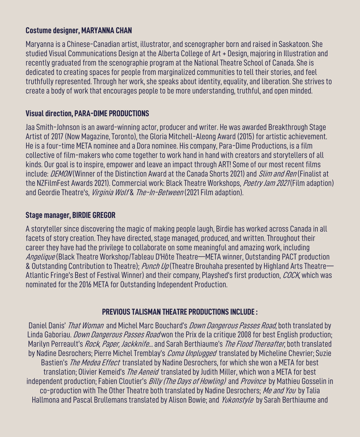#### **Costume designer, MARYANNA CHAN**

Maryanna is a Chinese-Canadian artist, illustrator, and scenographer born and raised in Saskatoon. She studied Visual Communications Design at the Alberta College of Art + Design, majoring in Illustration and recently graduated from the scenographie program at the National Theatre School of Canada. She is dedicated to creating spaces for people from marginalized communities to tell their stories, and feel truthfully represented. Through her work, she speaks about identity, equality, and liberation. She strives to create a body of work that encourages people to be more understanding, truthful, and open minded.

#### **Visual direction, PARA-DIME PRODUCTIONS**

Jaa Smith-Johnson is an award-winning actor, producer and writer. He was awarded Breakthrough Stage Artist of 2017 (Now Magazine, Toronto), the Gloria Mitchell-Aleong Award (2015) for artistic achievement. He is a four-time META nominee and a Dora nominee. His company, Para-Dime Productions, is a film collective of film-makers who come together to work hand in hand with creators and storytellers of all kinds. Our goal is to inspire, empower and leave an impact through ART! Some of our most recent films include: DEMON (Winner of the Distinction Award at the Canada Shorts 2021) and *Slim and Ren* (Finalist at the NZFilmFest Awards 2021). Commercial work: Black Theatre Workshops, Poetry Jam 2021 (Film adaption) and Geordie Theatre's, *Virginia Wolf & The-In-Between* (2021 Film adaption).

#### **Stage manager, BIRDIE GREGOR**

A storyteller since discovering the magic of making people laugh, Birdie has worked across Canada in all facets of story creation. They have directed, stage managed, produced, and written. Throughout their career they have had the privilege to collaborate on some meaningful and amazing work, including Angelique (Black Theatre Workshop/Tableau D'Hôte Theatre—META winner, Outstanding PACT production & Outstanding Contribution to Theatre); Punch Up (Theatre Brouhaha presented by Highland Arts Theatre— Atlantic Fringe's Best of Festival Winner) and their company, Playshed's first production, COCK, which was nominated for the 2016 META for Outstanding Independent Production.

#### **PREVIOUS TALISMAN THEATRE PRODUCTIONS INCLUDE :**

Daniel Danis' That Woman and Michel Marc Bouchard's Down Dangerous Passes Road, both translated by Linda Gaboriau. *Down Dangerous Passes Road* won the Prix de la critique 2008 for best English production; Marilyn Perreault's Rock, Paper, Jackknife... and Sarah Berthiaume's The Flood Thereafter, both translated by Nadine Desrochers; Pierre Michel Tremblay's *Coma Unplugged* translated by Micheline Chevrier; Suzie Bastien's The Medea Effect translated by Nadine Desrochers, for which she won a META for best translation; Olivier Kemeid's *The Aeneid* translated by Judith Miller, which won a META for best independent production; Fabien Cloutier's *Billy (The Days of Howling)* and *Province* by Mathieu Gosselin in co-production with The Other Theatre both translated by Nadine Desrochers; Me and You by Talia Hallmona and Pascal Brullemans translated by Alison Bowie; and Yukonstyle by Sarah Berthiaume and